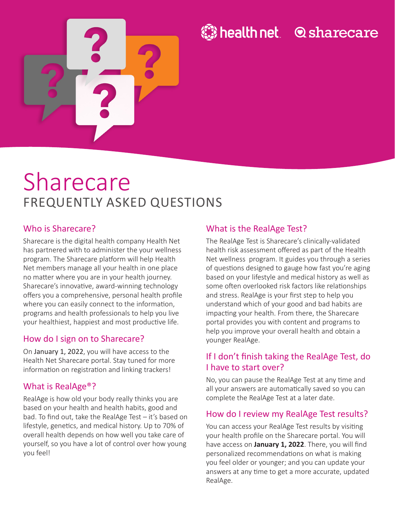

# **O** sharecare

# Sharecare FREQUENTLY ASKED QUESTIONS

#### Who is Sharecare?

Sharecare is the digital health company Health Net has partnered with to administer the your wellness program. The Sharecare platform will help Health Net members manage all your health in one place no matter where you are in your health journey. Sharecare's innovative, award-winning technology offers you a comprehensive, personal health profile where you can easily connect to the information, programs and health professionals to help you live your healthiest, happiest and most productive life.

#### How do I sign on to Sharecare?

On January 1, 2022, you will have access to the Health Net Sharecare portal. Stay tuned for more information on registration and linking trackers!

#### What is RealAge®?

RealAge is how old your body really thinks you are based on your health and health habits, good and bad. To find out, take the RealAge Test – it's based on lifestyle, genetics, and medical history. Up to 70% of overall health depends on how well you take care of yourself, so you have a lot of control over how young you feel!

#### What is the RealAge Test?

The RealAge Test is Sharecare's clinically-validated health risk assessment offered as part of the Health Net wellness program. It guides you through a series of questions designed to gauge how fast you're aging based on your lifestyle and medical history as well as some often overlooked risk factors like relationships and stress. RealAge is your first step to help you understand which of your good and bad habits are impacting your health. From there, the Sharecare portal provides you with content and programs to help you improve your overall health and obtain a younger RealAge.

#### If I don't finish taking the RealAge Test, do I have to start over?

No, you can pause the RealAge Test at any time and all your answers are automatically saved so you can complete the RealAge Test at a later date.

#### How do I review my RealAge Test results?

You can access your RealAge Test results by visiting your health profile on the Sharecare portal. You will have access on **January 1, 2022**. There, you will find personalized recommendations on what is making you feel older or younger; and you can update your answers at any time to get a more accurate, updated RealAge.